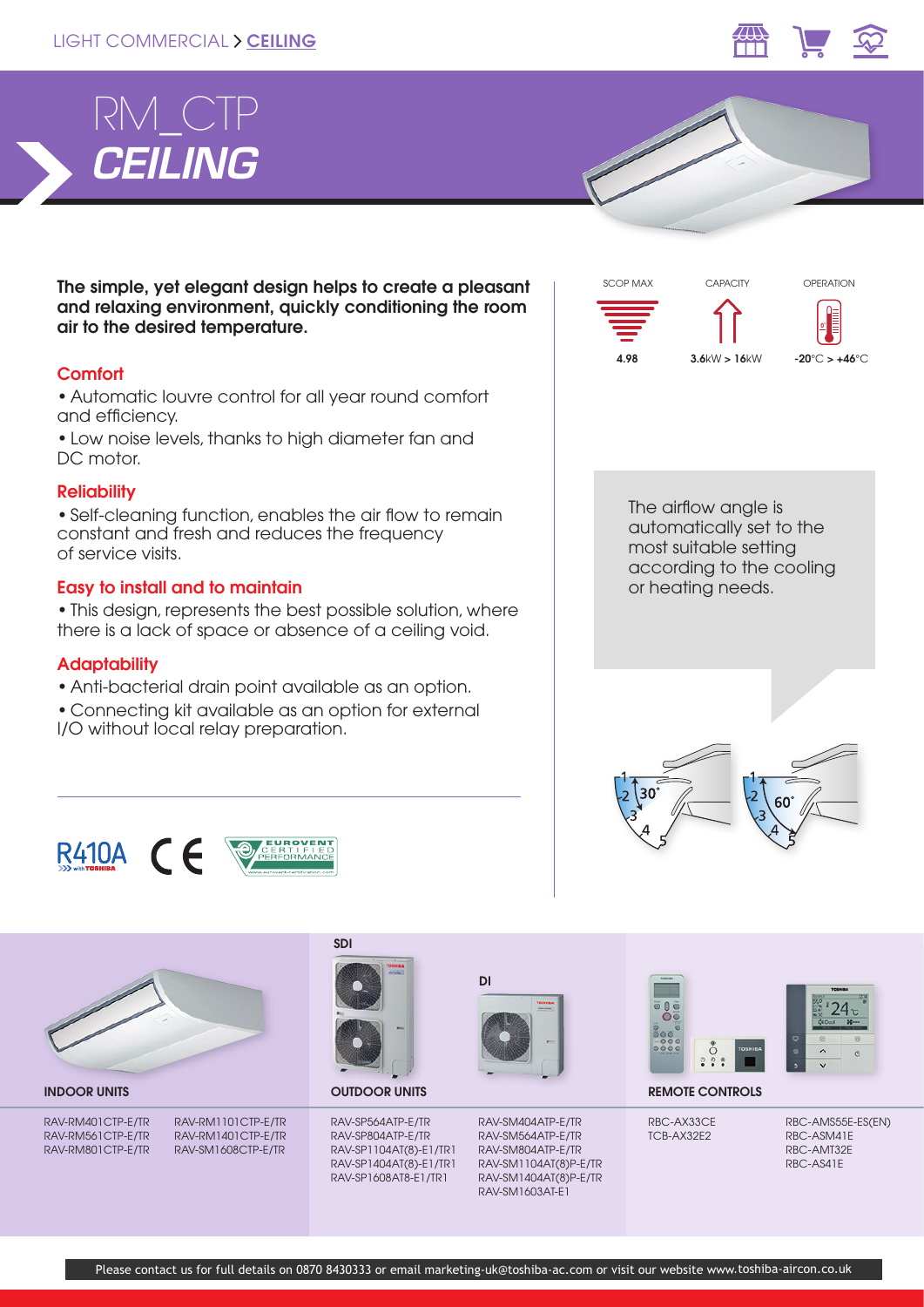# LIGHT COMMERCIAL > CEILING





The simple, yet elegant design helps to create a pleasant and relaxing environment, quickly conditioning the room air to the desired temperature.

## **Comfort**

• Automatic louvre control for all year round comfort and efficiency.

• Low noise levels, thanks to high diameter fan and DC motor.

### **Reliability**

• Self-cleaning function, enables the air flow to remain constant and fresh and reduces the frequency of service visits.

## Easy to install and to maintain

• This design, represents the best possible solution, where there is a lack of space or absence of a ceiling void.

## **Adaptability**

- Anti-bacterial drain point available as an option.
- Connecting kit available as an option for external I/O without local relay preparation.



or heating needs.







RAV-RM401CTP-E/TR RAV-RM561CTP-E/TR RAV-RM801CTP-E/TR

RAV-RM1101CTP-E/TR RAV-RM1401CTP-E/TR RAV-SM1608CTP-E/TR



SDI

RAV-SP564ATP-E/TR RAV-SP804ATP-E/TR RAV-SP1104AT(8)-E1/TR1 RAV-SP1404AT(8)-E1/TR1 RAV-SP1608AT8-E1/TR1



RAV-SM404ATP-E/TR RAV-SM564ATP-E/TR RAV-SM804ATP-E/TR RAV-SM1104AT(8)P-E/TR RAV-SM1404AT(8)P-E/TR RAV-SM1603AT-E1





INDOOR UNITS **EXAMPLE 2015 CONTROLS** OUTDOOR UNITS **AND ALL CONTROLS** REMOTE CONTROLS

RBC-AX33CE TCB-AX32E2

RBC-AMS55E-ES(EN) RBC-ASM41E RBC-AMT32E RBC-AS41E